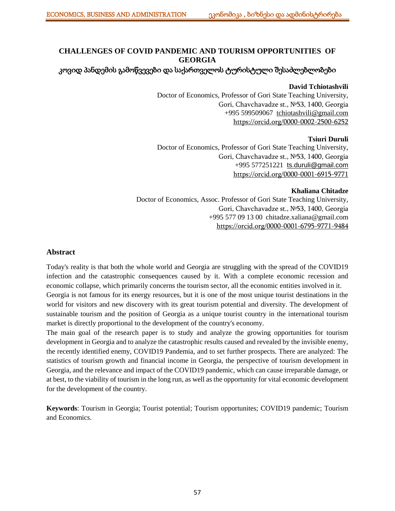# **CHALLENGES OF COVID PANDEMIC AND TOURISM OPPORTUNITIES OF GEORGIA**

## კოვიდ პანდემის გამოწვევები და საქართველოს ტურისტული შესაძლებლობები

### **David Tchiotashvili**

Doctor of Economics, Professor of Gori State Teaching University, Gori, Chavchavadze st., №53, 1400, Georgia +995 599509067 [tchiotashvili@gmail.com](mailto:tchiotashvili@gmail.com) [https://orcid.org/0000-0002-2500-6252](https://orcid.org/0000-0002-2500-6252%201) 

### **Tsiuri Duruli**

Doctor of Economics, Professor of Gori State Teaching University, Gori, Chavchavadze st., №53, 1400, Georgia +995 577251221 [ts.duruli@gmail.com](mailto:ts.duruli@gmail.com) <https://orcid.org/0000-0001-6915-9771>

### **Khaliana Chitadze**

Doctor of Economics, Assoc. Professor of Gori State Teaching University, Gori, Chavchavadze st., №53, 1400, Georgia +995 577 09 13 00 [chitadze.xaliana@gmail.com](mailto:chitadze.xaliana@gmail.com) [https://orcid.org/0000-0001-6795-9771-](https://orcid.org/0000-0001-6795-9771)9484

### **Abstract**

Today's reality is that both the whole world and Georgia are struggling with the spread of the COVID19 infection and the catastrophic consequences caused by it. With a complete economic recession and economic collapse, which primarily concerns the tourism sector, all the economic entities involved in it. Georgia is not famous for its energy resources, but it is one of the most unique tourist destinations in the world for visitors and new discovery with its great tourism potential and diversity. The development of sustainable tourism and the position of Georgia as a unique tourist country in the international tourism market is directly proportional to the development of the country's economy.

The main goal of the research paper is to study and analyze the growing opportunities for tourism development in Georgia and to analyze the catastrophic results caused and revealed by the invisible enemy, the recently identified enemy, COVID19 Pandemia, and to set further prospects. There are analyzed: The statistics of tourism growth and financial income in Georgia, the perspective of tourism development in Georgia, and the relevance and impact of the COVID19 pandemic, which can cause irreparable damage, or at best, to the viability of tourism in the long run, as well as the opportunity for vital economic development for the development of the country.

**Keywords**: Tourism in Georgia; Tourist potential; Tourism opportunites; COVID19 pandemic; Tourism and Economics.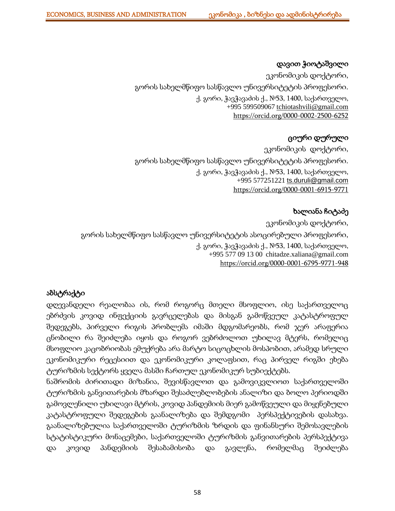## დავით ჭიოტაშვილი

ეკონომიკის დოქტორი, გორის სახელმწიფო სასწავლო უნივერსიტეტის პროფესორი. ქ. გორი, ჭავჭავაძის ქ., №53, 1400, საქართველო, +995 599509067 [tchiotashvili@gmail.com](mailto:tchiotashvili@gmail.com) [https://orcid.org/0000-0002-2500-6252](https://orcid.org/0000-0002-2500-6252%201) 

# ციური დურული

ეკონომიკის დოქტორი, გორის სახელმწიფო სასწავლო უნივერსიტეტის პროფესორი. ქ. გორი, ჭავჭავაძის ქ., №53, 1400, საქართველო, +995 577251221 [ts.duruli@gmail.com](mailto:ts.duruli@gmail.com) <https://orcid.org/0000-0001-6915-9771>

## ხალიანა ჩიტაძე

ეკონომიკის დოქტორი, გორის სახელმწიფო სასწავლო უნივერსიტეტის ასოცირებული პროფესორი, ქ. გორი, ჭავჭავაძის ქ., №53, 1400, საქართველო, +995 577 09 13 00 [chitadze.xaliana@gmail.com](mailto:chitadze.xaliana@gmail.com) [https://orcid.org/0000-0001-6795-9771-](https://orcid.org/0000-0001-6795-9771)948

# აბსტრაქტი

დღევანდელი რეალობაა ის, რომ როგორც მთელი მსოფლიო, ისე საქართველოც ებრძვის კოვიდ ინფექციის გავრცელებას და მისგან გამოწვეულ კატასტროფულ შედეგებს, პირველი რიგის პრობლემა იმაში მდგომარეობს, რომ ჯერ არაფერია ცნობილი რა შეიძლება იყოს და როგორ ვებრძოლოთ უხილავ მტერს, რომელიც მსოფლიო კაცობრიობას ემუქრება არა მარტო სიცოცხლის მოსპობით, არამედ სრული ეკონომიკური რეცესიით და ეკონომიკური კოლაფსით, რაც პირველ რიგში ეხება ტურიზმის სექტორს ყველა მასში ჩართულ ეკონომიკურ სუბიექტებს.

ნაშრომის ძირითადი მიზანია, შევისწავლოთ და გამოვიკვლიოთ საქართველოში ტურიზმის განვითარების მზარდი შესაძლებლობების ანალიზი და ბოლო პერიოდში გამოვლენილი უხილავი მტრის, კოვიდ პანდემიის მიერ გამოწვეული და მიყენებული კატასტროფული შედეგების გაანალიზება და შემდგომი პერსპექტივების დასახვა. გაანალიზებულია საქართველოში ტურიზმის ზრდის და ფინანსური შემოსავლების სტატისტიკური მონაცემები, საქართველოში ტურიზმის განვითარების პერსპექტივა და კოვიდ პანდემიის შესაბამისობა და გავლენა, რომელმაც შეიძლება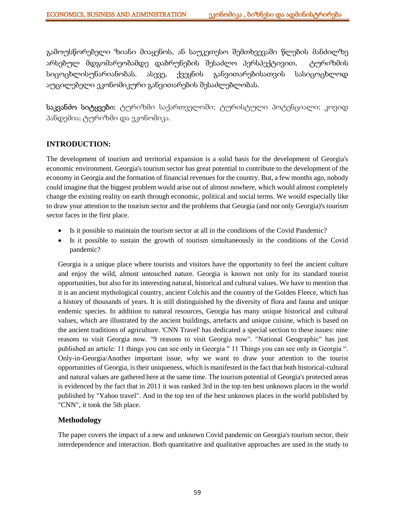გამოუსწორებელი ზიანი მიაყენოს, ან საუკეთესო შემთხვევაში წლების მანძილზე არსებულ მდგომარეობამდე დაბრუნების შესაძლო პერსპექტივით, ტურიზმის სიცოცხლისუნარიანობას. ასევე, ქვეყნის განვითარებისათვის სასიცოცხლოდ აუცილებელი ეკონომიკური განვითარების შესაძლებლობას.

საკვანძო სიტყვები: ტურიზმი საქართველოში; ტურისტული პოტენციალი; კოვიდ პანდემია; ტურიზმი და ეკონომიკა.

## **INTRODUCTION:**

The development of tourism and territorial expansion is a solid basis for the development of Georgia's economic environment. Georgia's tourism sector has great potential to contribute to the development of the economy in Georgia and the formation of financial revenues for the country. But, a few months ago, nobody could imagine that the biggest problem would arise out of almost nowhere, which would almost completely change the existing reality on earth through economic, political and social terms. We would especially like to draw your attention to the tourism sector and the problems that Georgia (and not only Georgia)'s tourism sector faces in the first place.

- Is it possible to maintain the tourism sector at all in the conditions of the Covid Pandemic?
- Is it possible to sustain the growth of tourism simultaneously in the conditions of the Covid pandemic?

Georgia is a unique place where tourists and visitors have the opportunity to feel the ancient culture and enjoy the wild, almost untouched nature. Georgia is known not only for its standard tourist opportunities, but also for its interesting natural, historical and cultural values. We have to mention that it is an ancient mythological country, ancient Colchis and the country of the Golden Fleece, which has a history of thousands of years. It is still distinguished by the diversity of flora and fauna and unique endemic species. In addition to natural resources, Georgia has many unique historical and cultural values, which are illustrated by the ancient buildings, artefacts and unique cuisine, which is based on the ancient traditions of agriculture. 'CNN Travel' has dedicated a special section to these issues: nine reasons to visit Georgia now. "9 reasons to visit Georgia now". "National Geographic" has just published an article: 11 things you can see only in Georgia " 11 Things you can see only in Georgia ". Only-in-Georgia/Another important issue, why we want to draw your attention to the tourist opportunities of Georgia, is their uniqueness, which is manifested in the fact that both historical-cultural and natural values are gathered here at the same time. The tourism potential of Georgia's protected areas is evidenced by the fact that in 2011 it was ranked 3rd in the top ten best unknown places in the world published by "Yahoo travel". And in the top ten of the best unknown places in the world published by "CNN", it took the 5th place.

## **Methodology**

The paper covers the impact of a new and unknown Covid pandemic on Georgia's tourism sector, their interdependence and interaction. Both quantitative and qualitative approaches are used in the study to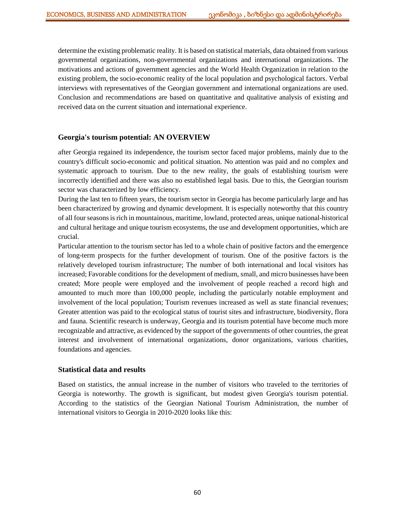determine the existing problematic reality. It is based on statistical materials, data obtained from various governmental organizations, non-governmental organizations and international organizations. The motivations and actions of government agencies and the World Health Organization in relation to the existing problem, the socio-economic reality of the local population and psychological factors. Verbal interviews with representatives of the Georgian government and international organizations are used. Conclusion and recommendations are based on quantitative and qualitative analysis of existing and received data on the current situation and international experience.

### **Georgia's tourism potential: AN OVERVIEW**

after Georgia regained its independence, the tourism sector faced major problems, mainly due to the country's difficult socio-economic and political situation. No attention was paid and no complex and systematic approach to tourism. Due to the new reality, the goals of establishing tourism were incorrectly identified and there was also no established legal basis. Due to this, the Georgian tourism sector was characterized by low efficiency.

During the last ten to fifteen years, the tourism sector in Georgia has become particularly large and has been characterized by growing and dynamic development. It is especially noteworthy that this country of all four seasons is rich in mountainous, maritime, lowland, protected areas, unique national-historical and cultural heritage and unique tourism ecosystems, the use and development opportunities, which are crucial.

Particular attention to the tourism sector has led to a whole chain of positive factors and the emergence of long-term prospects for the further development of tourism. One of the positive factors is the relatively developed tourism infrastructure; The number of both international and local visitors has increased; Favorable conditions for the development of medium, small, and micro businesses have been created; More people were employed and the involvement of people reached a record high and amounted to much more than 100,000 people, including the particularly notable employment and involvement of the local population; Tourism revenues increased as well as state financial revenues; Greater attention was paid to the ecological status of tourist sites and infrastructure, biodiversity, flora and fauna. Scientific research is underway, Georgia and its tourism potential have become much more recognizable and attractive, as evidenced by the support of the governments of other countries, the great interest and involvement of international organizations, donor organizations, various charities, foundations and agencies.

### **Statistical data and results**

Based on statistics, the annual increase in the number of visitors who traveled to the territories of Georgia is noteworthy. The growth is significant, but modest given Georgia's tourism potential. According to the statistics of the Georgian National Tourism Administration, the number of international visitors to Georgia in 2010-2020 looks like this: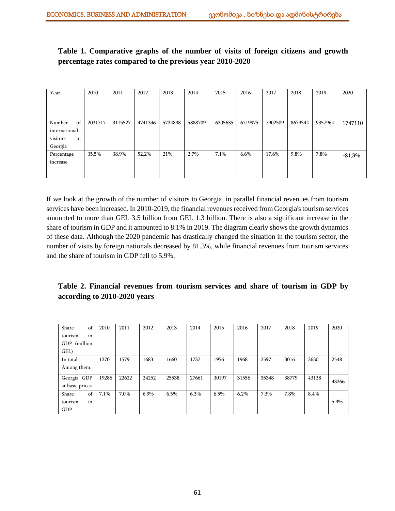**Table 1. Comparative graphs of the number of visits of foreign citizens and growth percentage rates compared to the previous year 2010-2020**

| Year           | 2010    | 2011    | 2012    | 2013    | 2014    | 2015    | 2016    | 2017    | 2018    | 2019    | 2020     |
|----------------|---------|---------|---------|---------|---------|---------|---------|---------|---------|---------|----------|
|                |         |         |         |         |         |         |         |         |         |         |          |
|                |         |         |         |         |         |         |         |         |         |         |          |
|                |         |         |         |         |         |         |         |         |         |         |          |
| of<br>Number   | 2031717 | 3115527 | 4741346 | 5734898 | 5888709 | 6305635 | 6719975 | 7902509 | 8679544 | 9357964 | 1747110  |
| international  |         |         |         |         |         |         |         |         |         |         |          |
| visitors<br>in |         |         |         |         |         |         |         |         |         |         |          |
| Georgia        |         |         |         |         |         |         |         |         |         |         |          |
| Percentage     | 35,5%   | 38,9%   | 52,2%   | 21%     | 2,7%    | 7.1%    | $6.6\%$ | 17.6%   | 9.8%    | 7.8%    | $-81,3%$ |
| increase       |         |         |         |         |         |         |         |         |         |         |          |
|                |         |         |         |         |         |         |         |         |         |         |          |
|                |         |         |         |         |         |         |         |         |         |         |          |

If we look at the growth of the number of visitors to Georgia, in parallel financial revenues from tourism services have been increased. In 2010-2019, the financial revenues received from Georgia's tourism services amounted to more than GEL 3.5 billion from GEL 1.3 billion. There is also a significant increase in the share of tourism in GDP and it amounted to 8.1% in 2019. The diagram clearly shows the growth dynamics of these data. Although the 2020 pandemic has drastically changed the situation in the tourism sector, the number of visits by foreign nationals decreased by 81.3%, while financial revenues from tourism services and the share of tourism in GDP fell to 5.9%.

## **Table 2. Financial revenues from tourism services and share of tourism in GDP by according to 2010-2020 years**

| Share           | of | 2010  | 2011  | 2012  | 2013  | 2014  | 2015  | 2016  | 2017  | 2018  | 2019  | 2020  |
|-----------------|----|-------|-------|-------|-------|-------|-------|-------|-------|-------|-------|-------|
| tourism         | in |       |       |       |       |       |       |       |       |       |       |       |
| GDP (million    |    |       |       |       |       |       |       |       |       |       |       |       |
| GEL)            |    |       |       |       |       |       |       |       |       |       |       |       |
| In total        |    | 1370  | 1579  | 1683  | 1660  | 1737  | 1956  | 1968  | 2597  | 3016  | 3630  | 2548  |
| Among them:     |    |       |       |       |       |       |       |       |       |       |       |       |
| Georgia GDP     |    | 19286 | 22622 | 24252 | 25538 | 27661 | 30197 | 31556 | 35348 | 38779 | 43138 | 43266 |
| at basic prices |    |       |       |       |       |       |       |       |       |       |       |       |
| Share           | of | 7.1%  | 7.0%  | 6.9%  | 6.5%  | 6.3%  | 6.5%  | 6.2%  | 7.3%  | 7.8%  | 8.4%  |       |
| tourism         | in |       |       |       |       |       |       |       |       |       |       | 5.9%  |
| GDP             |    |       |       |       |       |       |       |       |       |       |       |       |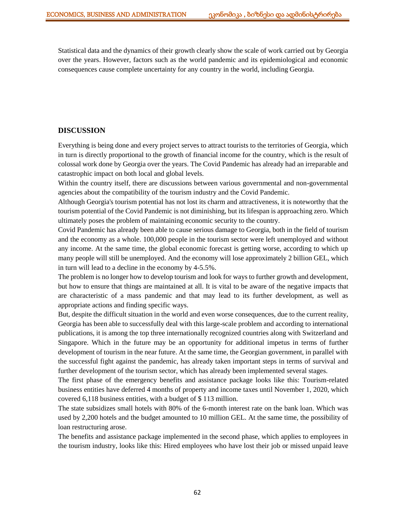Statistical data and the dynamics of their growth clearly show the scale of work carried out by Georgia over the years. However, factors such as the world pandemic and its epidemiological and economic consequences cause complete uncertainty for any country in the world, including Georgia.

### **DISCUSSION**

Everything is being done and every project serves to attract tourists to the territories of Georgia, which in turn is directly proportional to the growth of financial income for the country, which is the result of colossal work done by Georgia over the years. The Covid Pandemic has already had an irreparable and catastrophic impact on both local and global levels.

Within the country itself, there are discussions between various governmental and non-governmental agencies about the compatibility of the tourism industry and the Covid Pandemic.

Although Georgia's tourism potential has not lost its charm and attractiveness, it is noteworthy that the tourism potential of the Covid Pandemic is not diminishing, but its lifespan is approaching zero. Which ultimately poses the problem of maintaining economic security to the country.

Covid Pandemic has already been able to cause serious damage to Georgia, both in the field of tourism and the economy as a whole. 100,000 people in the tourism sector were left unemployed and without any income. At the same time, the global economic forecast is getting worse, according to which up many people will still be unemployed. And the economy will lose approximately 2 billion GEL, which in turn will lead to a decline in the economy by 4-5.5%.

The problem is no longer how to develop tourism and look for ways to further growth and development, but how to ensure that things are maintained at all. It is vital to be aware of the negative impacts that are characteristic of a mass pandemic and that may lead to its further development, as well as appropriate actions and finding specific ways.

But, despite the difficult situation in the world and even worse consequences, due to the current reality, Georgia has been able to successfully deal with this large-scale problem and according to international publications, it is among the top three internationally recognized countries along with Switzerland and Singapore. Which in the future may be an opportunity for additional impetus in terms of further development of tourism in the near future. At the same time, the Georgian government, in parallel with the successful fight against the pandemic, has already taken important steps in terms of survival and further development of the tourism sector, which has already been implemented several stages.

The first phase of the emergency benefits and assistance package looks like this: Tourism-related business entities have deferred 4 months of property and income taxes until November 1, 2020, which covered 6,118 business entities, with a budget of \$ 113 million.

The state subsidizes small hotels with 80% of the 6-month interest rate on the bank loan. Which was used by 2,200 hotels and the budget amounted to 10 million GEL. At the same time, the possibility of loan restructuring arose.

The benefits and assistance package implemented in the second phase, which applies to employees in the tourism industry, looks like this: Hired employees who have lost their job or missed unpaid leave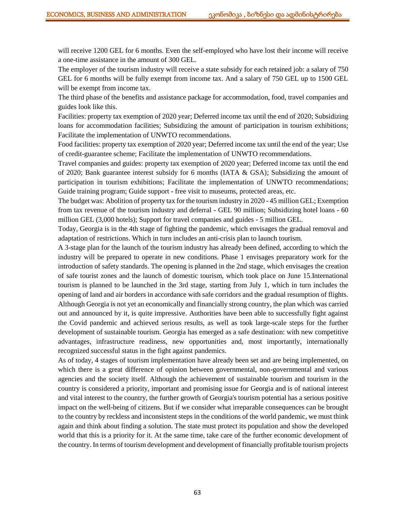will receive 1200 GEL for 6 months. Even the self-employed who have lost their income will receive a one-time assistance in the amount of 300 GEL.

The employer of the tourism industry will receive a state subsidy for each retained job: a salary of 750 GEL for 6 months will be fully exempt from income tax. And a salary of 750 GEL up to 1500 GEL will be exempt from income tax.

The third phase of the benefits and assistance package for accommodation, food, travel companies and guides look like this.

Facilities: property tax exemption of 2020 year; Deferred income tax until the end of 2020; Subsidizing loans for accommodation facilities; Subsidizing the amount of participation in tourism exhibitions; Facilitate the implementation of UNWTO recommendations.

Food facilities: property tax exemption of 2020 year; Deferred income tax until the end of the year; Use of credit-guarantee scheme; Facilitate the implementation of UNWTO recommendations.

Travel companies and guides: property tax exemption of 2020 year; Deferred income tax until the end of 2020; Bank guarantee interest subsidy for 6 months (IATA  $\&$  GSA); Subsidizing the amount of participation in tourism exhibitions; Facilitate the implementation of UNWTO recommendations; Guide training program; Guide support - free visit to museums, protected areas, etc.

The budget was: Abolition of property tax for the tourism industry in 2020 - 45 million GEL; Exemption from tax revenue of the tourism industry and deferral - GEL 90 million; Subsidizing hotel loans - 60 million GEL (3,000 hotels); Support for travel companies and guides - 5 million GEL.

Today, Georgia is in the 4th stage of fighting the pandemic, which envisages the gradual removal and adaptation of restrictions. Which in turn includes an anti-crisis plan to launch tourism.

A 3-stage plan for the launch of the tourism industry has already been defined, according to which the industry will be prepared to operate in new conditions. Phase 1 envisages preparatory work for the introduction of safety standards. The opening is planned in the 2nd stage, which envisages the creation of safe tourist zones and the launch of domestic tourism, which took place on June 15.International tourism is planned to be launched in the 3rd stage, starting from July 1, which in turn includes the opening of land and air borders in accordance with safe corridors and the gradual resumption of flights. Although Georgia is not yet an economically and financially strong country, the plan which was carried out and announced by it, is quite impressive. Authorities have been able to successfully fight against the Covid pandemic and achieved serious results, as well as took large-scale steps for the further development of sustainable tourism. Georgia has emerged as a safe destination: with new competitive advantages, infrastructure readiness, new opportunities and, most importantly, internationally recognized successful status in the fight against pandemics.

As of today, 4 stages of tourism implementation have already been set and are being implemented, on which there is a great difference of opinion between governmental, non-governmental and various agencies and the society itself. Although the achievement of sustainable tourism and tourism in the country is considered a priority, important and promising issue for Georgia and is of national interest and vital interest to the country, the further growth of Georgia's tourism potential has a serious positive impact on the well-being of citizens. But if we consider what irreparable consequences can be brought to the country by reckless and inconsistent steps in the conditions of the world pandemic, we must think again and think about finding a solution. The state must protect its population and show the developed world that this is a priority for it. At the same time, take care of the further economic development of the country. In terms of tourism development and development of financially profitable tourism projects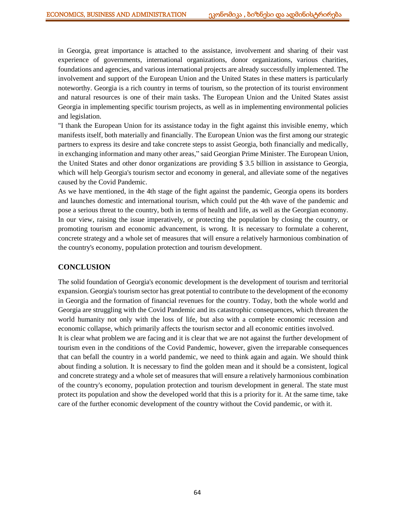in Georgia, great importance is attached to the assistance, involvement and sharing of their vast experience of governments, international organizations, donor organizations, various charities, foundations and agencies, and various international projects are already successfully implemented. The involvement and support of the European Union and the United States in these matters is particularly noteworthy. Georgia is a rich country in terms of tourism, so the protection of its tourist environment and natural resources is one of their main tasks. The European Union and the United States assist Georgia in implementing specific tourism projects, as well as in implementing environmental policies and legislation.

"I thank the European Union for its assistance today in the fight against this invisible enemy, which manifests itself, both materially and financially. The European Union was the first among our strategic partners to express its desire and take concrete steps to assist Georgia, both financially and medically, in exchanging information and many other areas," said Georgian Prime Minister. The European Union, the United States and other donor organizations are providing \$ 3.5 billion in assistance to Georgia, which will help Georgia's tourism sector and economy in general, and alleviate some of the negatives caused by the Covid Pandemic.

As we have mentioned, in the 4th stage of the fight against the pandemic, Georgia opens its borders and launches domestic and international tourism, which could put the 4th wave of the pandemic and pose a serious threat to the country, both in terms of health and life, as well as the Georgian economy. In our view, raising the issue imperatively, or protecting the population by closing the country, or promoting tourism and economic advancement, is wrong. It is necessary to formulate a coherent, concrete strategy and a whole set of measures that will ensure a relatively harmonious combination of the country's economy, population protection and tourism development.

### **CONCLUSION**

The solid foundation of Georgia's economic development is the development of tourism and territorial expansion. Georgia's tourism sector has great potential to contribute to the development of the economy in Georgia and the formation of financial revenues for the country. Today, both the whole world and Georgia are struggling with the Covid Pandemic and its catastrophic consequences, which threaten the world humanity not only with the loss of life, but also with a complete economic recession and economic collapse, which primarily affects the tourism sector and all economic entities involved.

It is clear what problem we are facing and it is clear that we are not against the further development of tourism even in the conditions of the Covid Pandemic, however, given the irreparable consequences that can befall the country in a world pandemic, we need to think again and again. We should think about finding a solution. It is necessary to find the golden mean and it should be a consistent, logical and concrete strategy and a whole set of measures that will ensure a relatively harmonious combination of the country's economy, population protection and tourism development in general. The state must protect its population and show the developed world that this is a priority for it. At the same time, take care of the further economic development of the country without the Covid pandemic, or with it.